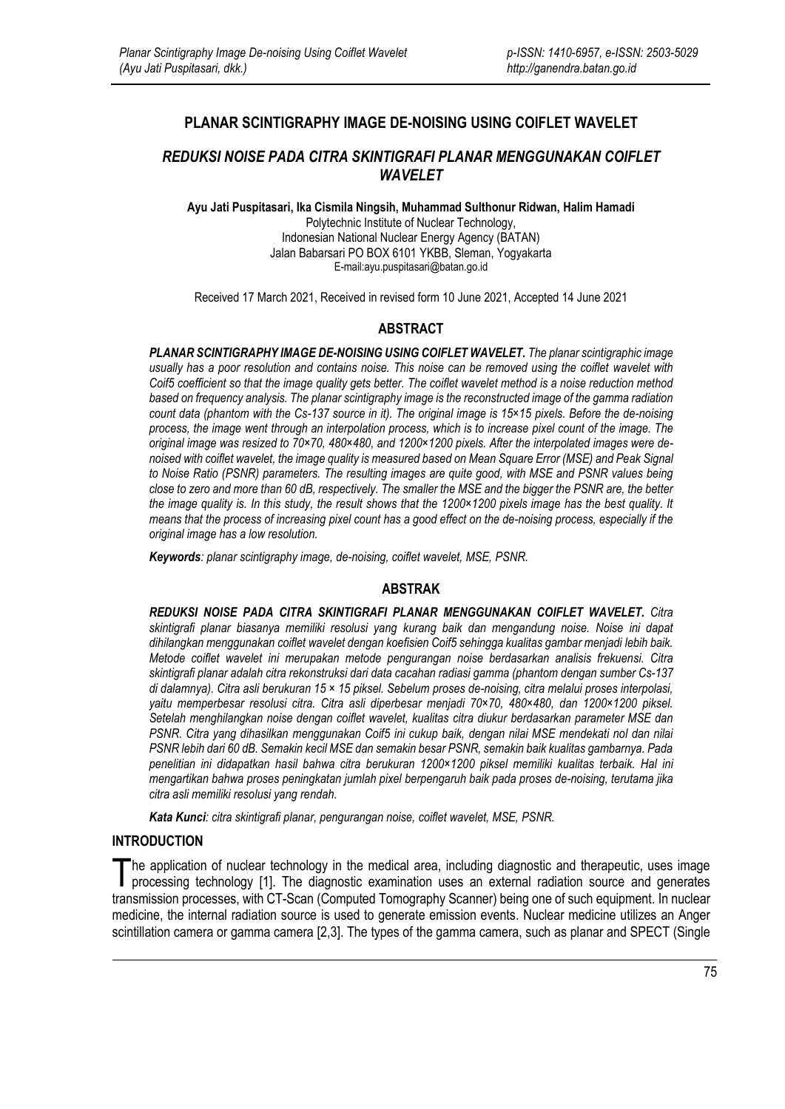# **PLANAR SCINTIGRAPHY IMAGE DE-NOISING USING COIFLET WAVELET**

# *REDUKSI NOISE PADA CITRA SKINTIGRAFI PLANAR MENGGUNAKAN COIFLET WAVELET*

**Ayu Jati Puspitasari, Ika Cismila Ningsih, Muhammad Sulthonur Ridwan, Halim Hamadi** Polytechnic Institute of Nuclear Technology, Indonesian National Nuclear Energy Agency (BATAN) Jalan Babarsari PO BOX 6101 YKBB, Sleman, Yogyakarta

E-mail:ayu.puspitasari@batan.go.id

Received 17 March 2021, Received in revised form 10 June 2021, Accepted 14 June 2021

### **ABSTRACT**

*PLANAR SCINTIGRAPHY IMAGE DE-NOISING USING COIFLET WAVELET. The planar scintigraphic image usually has a poor resolution and contains noise. This noise can be removed using the coiflet wavelet with Coif5 coefficient so that the image quality gets better. The coiflet wavelet method is a noise reduction method based on frequency analysis. The planar scintigraphy image is the reconstructed image of the gamma radiation count data (phantom with the Cs-137 source in it). The original image is 15×15 pixels. Before the de-noising process, the image went through an interpolation process, which is to increase pixel count of the image. The original image was resized to 70×70, 480×480, and 1200×1200 pixels. After the interpolated images were denoised with coiflet wavelet, the image quality is measured based on Mean Square Error (MSE) and Peak Signal to Noise Ratio (PSNR) parameters. The resulting images are quite good, with MSE and PSNR values being close to zero and more than 60 dB, respectively. The smaller the MSE and the bigger the PSNR are, the better the image quality is. In this study, the result shows that the 1200×1200 pixels image has the best quality. It means that the process of increasing pixel count has a good effect on the de-noising process, especially if the original image has a low resolution.*

*Keywords: planar scintigraphy image, de-noising, coiflet wavelet, MSE, PSNR.*

### **ABSTRAK**

*REDUKSI NOISE PADA CITRA SKINTIGRAFI PLANAR MENGGUNAKAN COIFLET WAVELET. Citra skintigrafi planar biasanya memiliki resolusi yang kurang baik dan mengandung noise. Noise ini dapat dihilangkan menggunakan coiflet wavelet dengan koefisien Coif5 sehingga kualitas gambar menjadi lebih baik. Metode coiflet wavelet ini merupakan metode pengurangan noise berdasarkan analisis frekuensi. Citra skintigrafi planar adalah citra rekonstruksi dari data cacahan radiasi gamma (phantom dengan sumber Cs-137 di dalamnya). Citra asli berukuran 15 × 15 piksel. Sebelum proses de-noising, citra melalui proses interpolasi, yaitu memperbesar resolusi citra. Citra asli diperbesar menjadi 70×70, 480×480, dan 1200×1200 piksel. Setelah menghilangkan noise dengan coiflet wavelet, kualitas citra diukur berdasarkan parameter MSE dan PSNR. Citra yang dihasilkan menggunakan Coif5 ini cukup baik, dengan nilai MSE mendekati nol dan nilai PSNR lebih dari 60 dB. Semakin kecil MSE dan semakin besar PSNR, semakin baik kualitas gambarnya. Pada penelitian ini didapatkan hasil bahwa citra berukuran 1200×1200 piksel memiliki kualitas terbaik. Hal ini mengartikan bahwa proses peningkatan jumlah pixel berpengaruh baik pada proses de-noising, terutama jika citra asli memiliki resolusi yang rendah.*

*Kata Kunci: citra skintigrafi planar, pengurangan noise, coiflet wavelet, MSE, PSNR.*

### **INTRODUCTION**

he application of nuclear technology in the medical area, including diagnostic and therapeutic, uses image processing technology [1]. The diagnostic examination uses an external radiation source and generates transmission processes, with CT-Scan (Computed Tomography Scanner) being one of such equipment. In nuclear medicine, the internal radiation source is used to generate emission events. Nuclear medicine utilizes an Anger scintillation camera or gamma camera [2,3]. The types of the gamma camera, such as planar and SPECT (Single  $\overline{\text{I}}$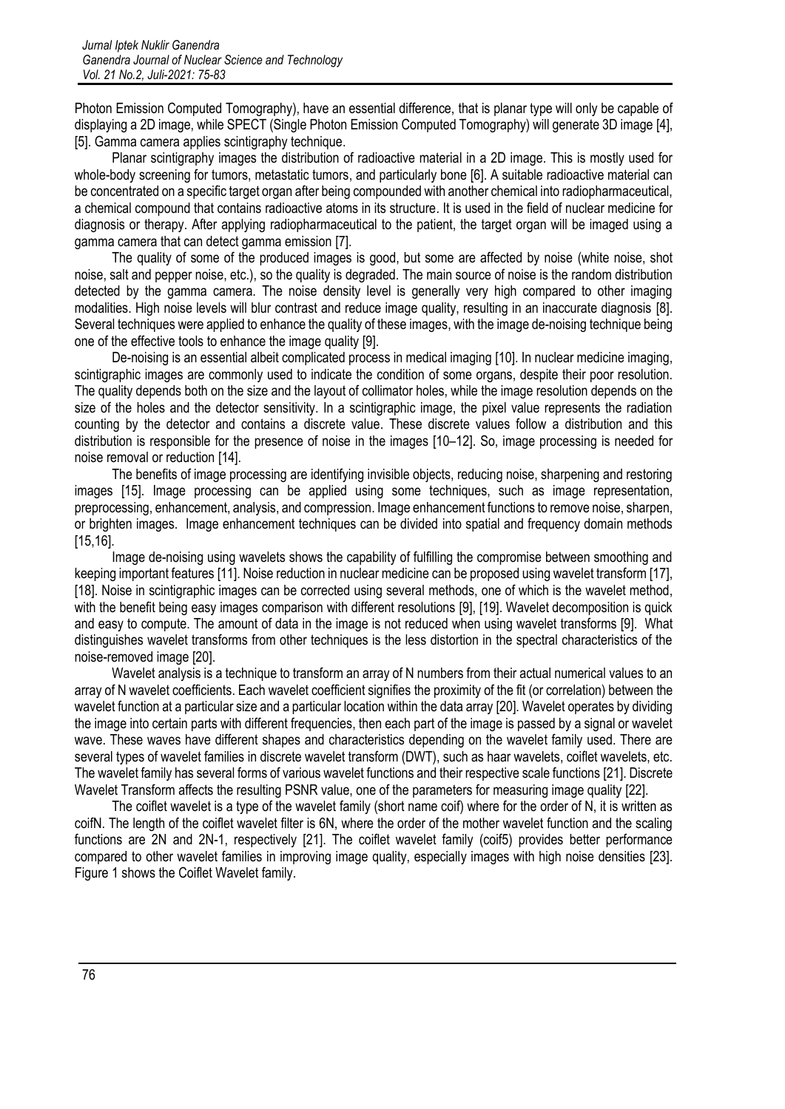Photon Emission Computed Tomography), have an essential difference, that is planar type will only be capable of displaying a 2D image, while SPECT (Single Photon Emission Computed Tomography) will generate 3D image [4], [5]. Gamma camera applies scintigraphy technique.

Planar scintigraphy images the distribution of radioactive material in a 2D image. This is mostly used for whole-body screening for tumors, metastatic tumors, and particularly bone [6]. A suitable radioactive material can be concentrated on a specific target organ after being compounded with another chemical into radiopharmaceutical, a chemical compound that contains radioactive atoms in its structure. It is used in the field of nuclear medicine for diagnosis or therapy. After applying radiopharmaceutical to the patient, the target organ will be imaged using a gamma camera that can detect gamma emission [7].

The quality of some of the produced images is good, but some are affected by noise (white noise, shot noise, salt and pepper noise, etc.), so the quality is degraded. The main source of noise is the random distribution detected by the gamma camera. The noise density level is generally very high compared to other imaging modalities. High noise levels will blur contrast and reduce image quality, resulting in an inaccurate diagnosis [8]. Several techniques were applied to enhance the quality of these images, with the image de-noising technique being one of the effective tools to enhance the image quality [9].

De-noising is an essential albeit complicated process in medical imaging [10]. In nuclear medicine imaging, scintigraphic images are commonly used to indicate the condition of some organs, despite their poor resolution. The quality depends both on the size and the layout of collimator holes, while the image resolution depends on the size of the holes and the detector sensitivity. In a scintigraphic image, the pixel value represents the radiation counting by the detector and contains a discrete value. These discrete values follow a distribution and this distribution is responsible for the presence of noise in the images [10–12]. So, image processing is needed for noise removal or reduction [14].

The benefits of image processing are identifying invisible objects, reducing noise, sharpening and restoring images [15]. Image processing can be applied using some techniques, such as image representation, preprocessing, enhancement, analysis, and compression. Image enhancement functions to remove noise, sharpen, or brighten images. Image enhancement techniques can be divided into spatial and frequency domain methods [15,16].

Image de-noising using wavelets shows the capability of fulfilling the compromise between smoothing and keeping important features [11]. Noise reduction in nuclear medicine can be proposed using wavelet transform [17], [18]. Noise in scintigraphic images can be corrected using several methods, one of which is the wavelet method, with the benefit being easy images comparison with different resolutions [9], [19]. Wavelet decomposition is quick and easy to compute. The amount of data in the image is not reduced when using wavelet transforms [9]. What distinguishes wavelet transforms from other techniques is the less distortion in the spectral characteristics of the noise-removed image [20].

Wavelet analysis is a technique to transform an array of N numbers from their actual numerical values to an array of N wavelet coefficients. Each wavelet coefficient signifies the proximity of the fit (or correlation) between the wavelet function at a particular size and a particular location within the data array [20]. Wavelet operates by dividing the image into certain parts with different frequencies, then each part of the image is passed by a signal or wavelet wave. These waves have different shapes and characteristics depending on the wavelet family used. There are several types of wavelet families in discrete wavelet transform (DWT), such as haar wavelets, coiflet wavelets, etc. The wavelet family has several forms of various wavelet functions and their respective scale functions [21]. Discrete Wavelet Transform affects the resulting PSNR value, one of the parameters for measuring image quality [22].

The coiflet wavelet is a type of the wavelet family (short name coif) where for the order of N, it is written as coifN. The length of the coiflet wavelet filter is 6N, where the order of the mother wavelet function and the scaling functions are 2N and 2N-1, respectively [21]. The coiflet wavelet family (coif5) provides better performance compared to other wavelet families in improving image quality, especially images with high noise densities [23]. Figure 1 shows the Coiflet Wavelet family.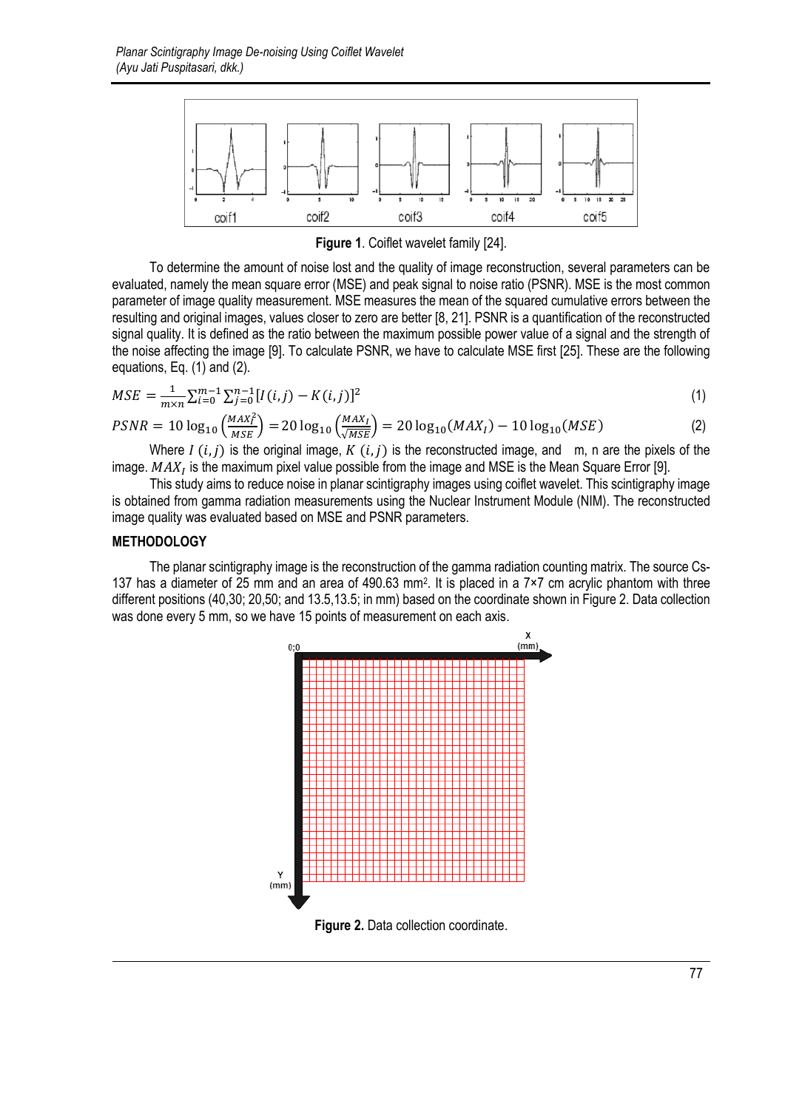

**Figure 1**. Coiflet wavelet family [24].

To determine the amount of noise lost and the quality of image reconstruction, several parameters can be evaluated, namely the mean square error (MSE) and peak signal to noise ratio (PSNR). MSE is the most common parameter of image quality measurement. MSE measures the mean of the squared cumulative errors between the resulting and original images, values closer to zero are better [8, 21]. PSNR is a quantification of the reconstructed signal quality. It is defined as the ratio between the maximum possible power value of a signal and the strength of the noise affecting the image [9]. To calculate PSNR, we have to calculate MSE first [25]. These are the following equations, Eq. (1) and (2).

$$
MSE = \frac{1}{m \times n} \sum_{i=0}^{m-1} \sum_{j=0}^{n-1} [I(i,j) - K(i,j)]^2
$$
\n(1)

$$
PSNR = 10 \log_{10} \left( \frac{MAX_i^2}{MSE} \right) = 20 \log_{10} \left( \frac{MAX_I}{\sqrt{MSE}} \right) = 20 \log_{10} (MAX_I) - 10 \log_{10} (MSE) \tag{2}
$$

Where I  $(i, j)$  is the original image,  $K(i, j)$  is the reconstructed image, and m, n are the pixels of the image.  $MAX_I$  is the maximum pixel value possible from the image and MSE is the Mean Square Error [9].

This study aims to reduce noise in planar scintigraphy images using coiflet wavelet. This scintigraphy image is obtained from gamma radiation measurements using the Nuclear Instrument Module (NIM). The reconstructed image quality was evaluated based on MSE and PSNR parameters.

## **METHODOLOGY**

The planar scintigraphy image is the reconstruction of the gamma radiation counting matrix. The source Cs-137 has a diameter of 25 mm and an area of 490.63 mm<sup>2</sup>. It is placed in a 7×7 cm acrylic phantom with three different positions (40,30; 20,50; and 13.5,13.5; in mm) based on the coordinate shown in Figure 2. Data collection was done every 5 mm, so we have 15 points of measurement on each axis.

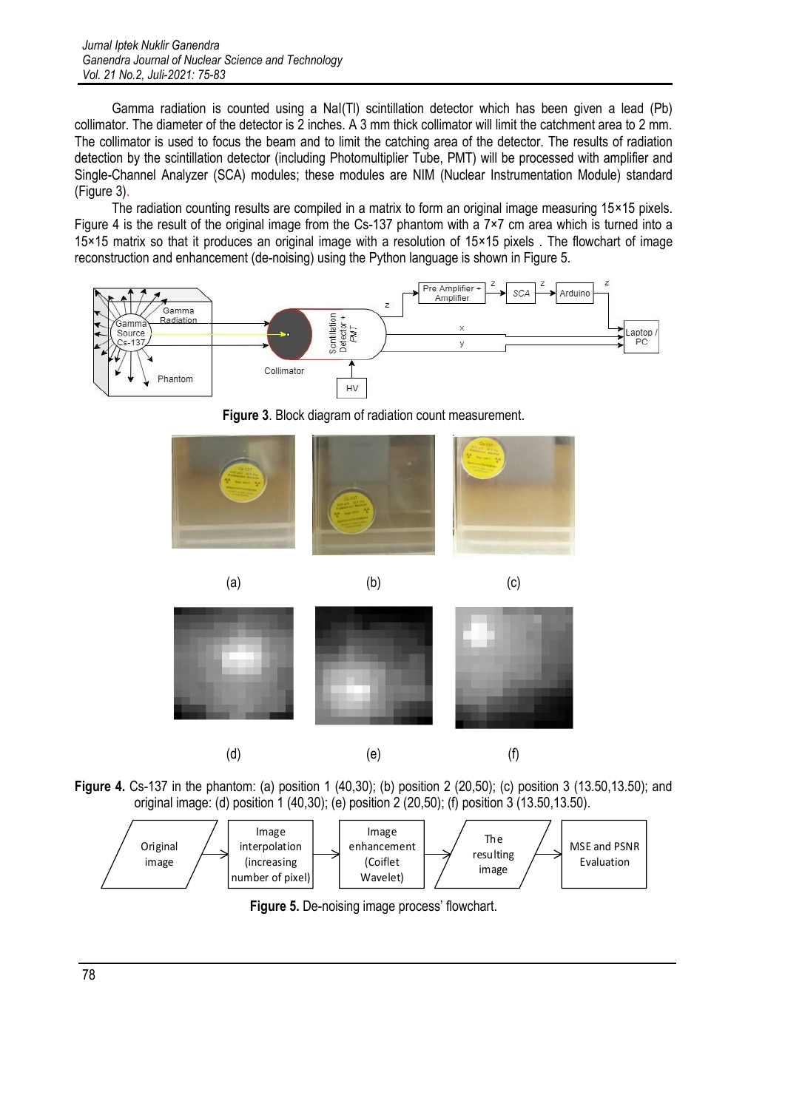Gamma radiation is counted using a NaI(Tl) scintillation detector which has been given a lead (Pb) collimator. The diameter of the detector is 2 inches. A 3 mm thick collimator will limit the catchment area to 2 mm. The collimator is used to focus the beam and to limit the catching area of the detector. The results of radiation detection by the scintillation detector (including Photomultiplier Tube, PMT) will be processed with amplifier and Single-Channel Analyzer (SCA) modules; these modules are NIM (Nuclear Instrumentation Module) standard (Figure 3).

The radiation counting results are compiled in a matrix to form an original image measuring 15×15 pixels. Figure 4 is the result of the original image from the Cs-137 phantom with a  $7\times7$  cm area which is turned into a 15×15 matrix so that it produces an original image with a resolution of 15×15 pixels . The flowchart of image reconstruction and enhancement (de-noising) using the Python language is shown in Figure 5.



**Figure 3**. Block diagram of radiation count measurement.



**Figure 4.** Cs-137 in the phantom: (a) position 1 (40,30); (b) position 2 (20,50); (c) position 3 (13.50,13.50); and original image: (d) position 1 (40,30); (e) position 2 (20,50); (f) position 3 (13.50,13.50).



**Figure 5.** De-noising image process' flowchart.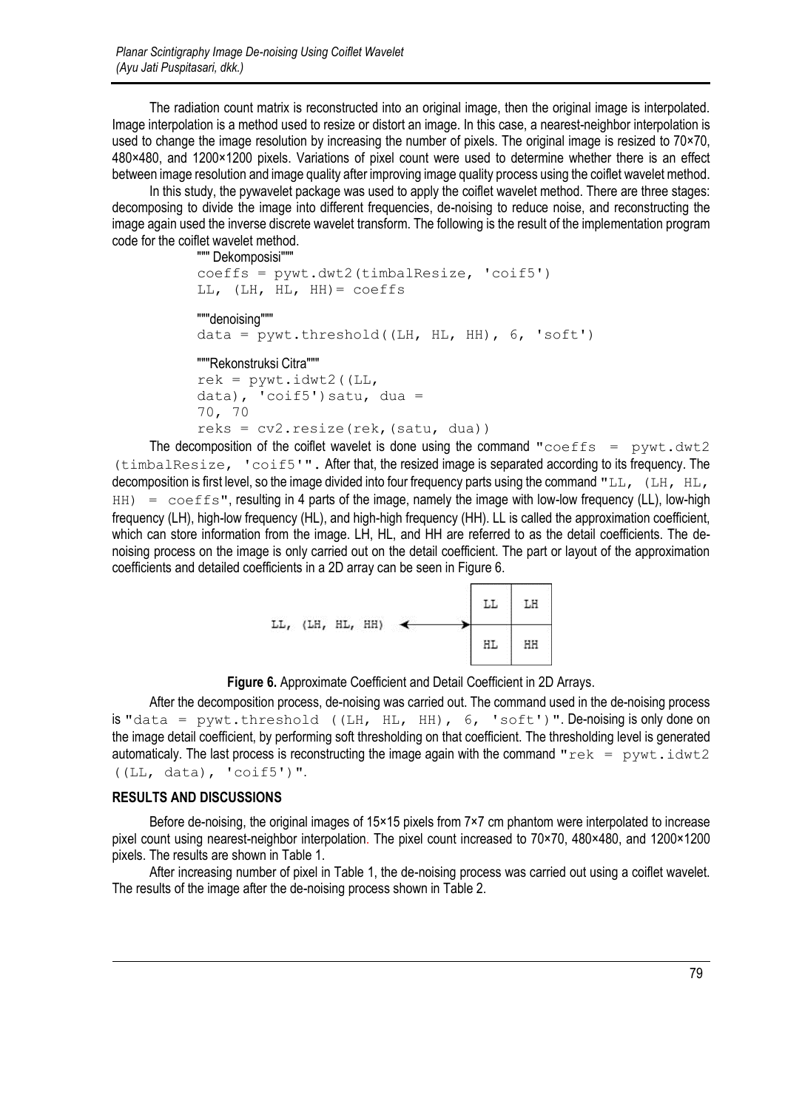The radiation count matrix is reconstructed into an original image, then the original image is interpolated. Image interpolation is a method used to resize or distort an image. In this case, a nearest-neighbor interpolation is used to change the image resolution by increasing the number of pixels. The original image is resized to 70×70, 480×480, and 1200×1200 pixels. Variations of pixel count were used to determine whether there is an effect between image resolution and image quality after improving image quality process using the coiflet wavelet method.

In this study, the pywavelet package was used to apply the coiflet wavelet method. There are three stages: decomposing to divide the image into different frequencies, de-noising to reduce noise, and reconstructing the image again used the inverse discrete wavelet transform. The following is the result of the implementation program code for the coiflet wavelet method.

```
""" Dekomposisi"""
coeffs = pywt.dwt2(timbalResize, 'coif5')
LL, (LH, HL, HH)= coeffs
"""denoising"""
data = pywt.threshold((LH, HL, HH), 6, 'soft')
"""Rekonstruksi Citra"""
rek = pywt.idwt2 (LL,data), 'coif5')satu, dua =
70, 70
reks = cv2.resize(rek,(satu, dua))
```
The decomposition of the coiflet wavelet is done using the command "coeffs =  $p$ ywt.dwt2 (timbalResize, 'coif5'". After that, the resized image is separated according to its frequency. The decomposition is first level, so the image divided into four frequency parts using the command "LL,  $(LH, HL, H)$  $HH$ ) = coeffs", resulting in 4 parts of the image, namely the image with low-low frequency (LL), low-high frequency (LH), high-low frequency (HL), and high-high frequency (HH). LL is called the approximation coefficient, which can store information from the image. LH, HL, and HH are referred to as the detail coefficients. The denoising process on the image is only carried out on the detail coefficient. The part or layout of the approximation coefficients and detailed coefficients in a 2D array can be seen in Figure 6.





After the decomposition process, de-noising was carried out. The command used in the de-noising process is "data =  $pywt.$ threshold  $((LH, HL, HH), 6, 'soft')$ ". De-noising is only done on the image detail coefficient, by performing soft thresholding on that coefficient. The thresholding level is generated automaticaly. The last process is reconstructing the image again with the command " $\text{rek} = \text{pywt} \cdot \text{idwt2}$ ((LL, data), 'coif5')".

# **RESULTS AND DISCUSSIONS**

Before de-noising, the original images of 15×15 pixels from 7×7 cm phantom were interpolated to increase pixel count using nearest-neighbor interpolation. The pixel count increased to 70×70, 480×480, and 1200×1200 pixels. The results are shown in Table 1.

After increasing number of pixel in Table 1, the de-noising process was carried out using a coiflet wavelet. The results of the image after the de-noising process shown in Table 2.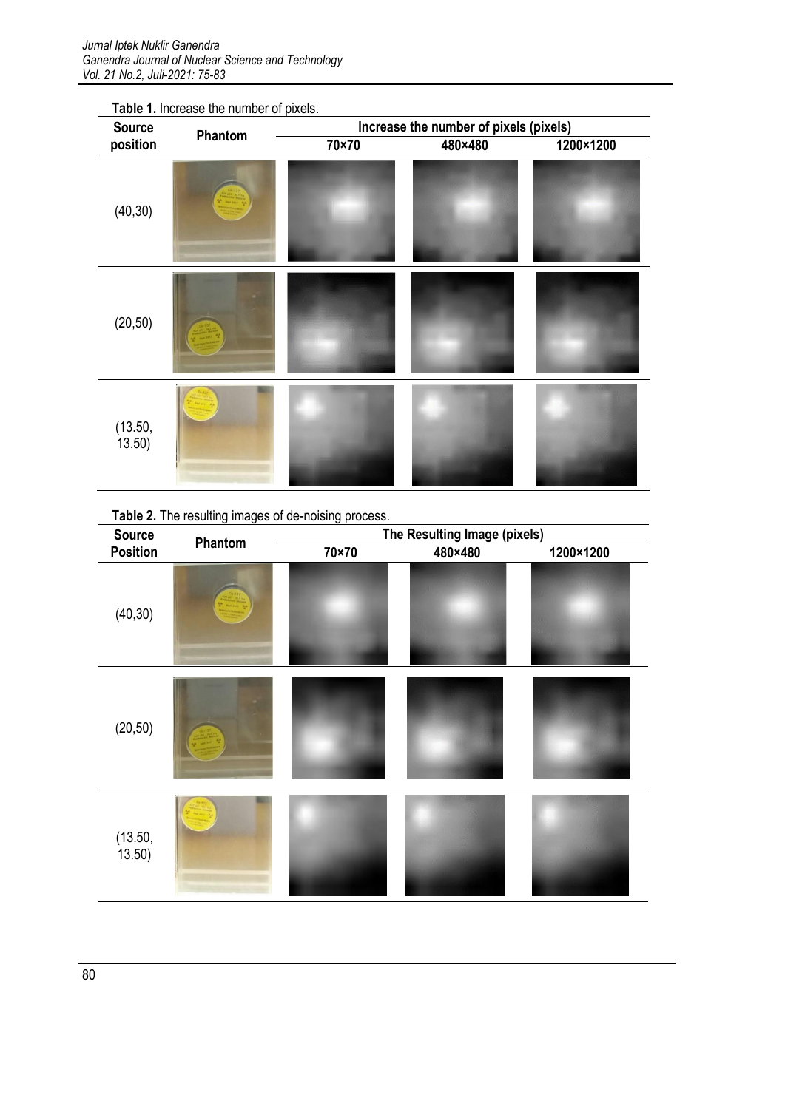| <b>Source</b><br>position | Phantom | Increase the number of pixels (pixels) |         |           |
|---------------------------|---------|----------------------------------------|---------|-----------|
|                           |         | 70×70                                  | 480×480 | 1200×1200 |
| (40, 30)                  |         |                                        |         |           |
| (20, 50)                  |         |                                        |         |           |
| (13.50, 13.50)            |         |                                        |         |           |

**Commercial Commercial Commercial** 

**Table 1.** Increase the number of pixels.



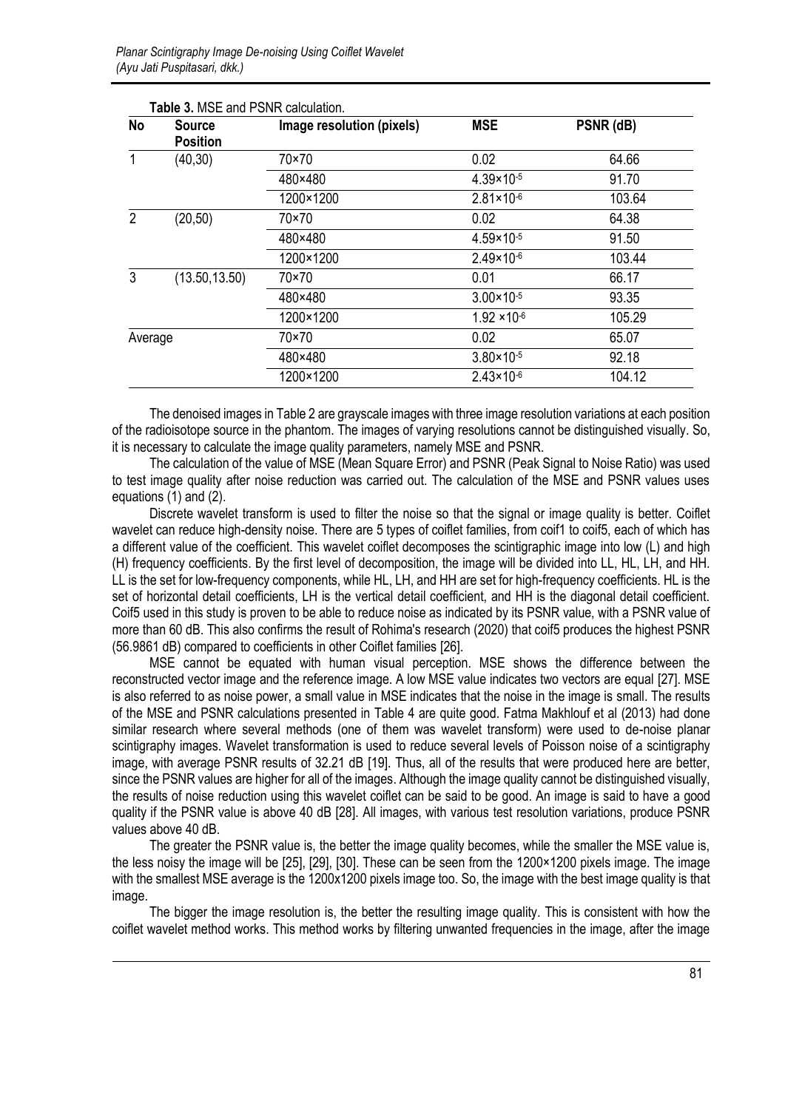| <b>No</b>      | <b>Source</b><br><b>Position</b> | Image resolution (pixels) | <b>MSE</b>            | PSNR (dB) |
|----------------|----------------------------------|---------------------------|-----------------------|-----------|
| $\mathbf{1}$   | (40,30)                          | 70×70                     | 0.02                  | 64.66     |
|                |                                  | 480×480                   | $4.39 \times 10^{-5}$ | 91.70     |
|                |                                  | 1200×1200                 | $2.81 \times 10^{-6}$ | 103.64    |
| $\overline{2}$ | (20, 50)                         | 70×70                     | 0.02                  | 64.38     |
|                |                                  | 480×480                   | $4.59 \times 10^{-5}$ | 91.50     |
|                |                                  | 1200×1200                 | $2.49 \times 10^{-6}$ | 103.44    |
| $\mathbf{3}$   | (13.50, 13.50)                   | 70×70                     | 0.01                  | 66.17     |
|                |                                  | 480×480                   | $3.00 \times 10^{-5}$ | 93.35     |
|                |                                  | 1200×1200                 | $1.92 \times 10^{-6}$ | 105.29    |
| Average        |                                  | 70×70                     | 0.02                  | 65.07     |
|                |                                  | 480×480                   | $3.80 \times 10^{-5}$ | 92.18     |
|                |                                  | 1200×1200                 | $2.43 \times 10^{-6}$ | 104.12    |

**Table 3.** MSE and PSNR calculation.

The denoised images in Table 2 are grayscale images with three image resolution variations at each position of the radioisotope source in the phantom. The images of varying resolutions cannot be distinguished visually. So, it is necessary to calculate the image quality parameters, namely MSE and PSNR.

The calculation of the value of MSE (Mean Square Error) and PSNR (Peak Signal to Noise Ratio) was used to test image quality after noise reduction was carried out. The calculation of the MSE and PSNR values uses equations (1) and (2).

Discrete wavelet transform is used to filter the noise so that the signal or image quality is better. Coiflet wavelet can reduce high-density noise. There are 5 types of coiflet families, from coif1 to coif5, each of which has a different value of the coefficient. This wavelet coiflet decomposes the scintigraphic image into low (L) and high (H) frequency coefficients. By the first level of decomposition, the image will be divided into LL, HL, LH, and HH. LL is the set for low-frequency components, while HL, LH, and HH are set for high-frequency coefficients. HL is the set of horizontal detail coefficients, LH is the vertical detail coefficient, and HH is the diagonal detail coefficient. Coif5 used in this study is proven to be able to reduce noise as indicated by its PSNR value, with a PSNR value of more than 60 dB. This also confirms the result of Rohima's research (2020) that coif5 produces the highest PSNR (56.9861 dB) compared to coefficients in other Coiflet families [26].

MSE cannot be equated with human visual perception. MSE shows the difference between the reconstructed vector image and the reference image. A low MSE value indicates two vectors are equal [27]. MSE is also referred to as noise power, a small value in MSE indicates that the noise in the image is small. The results of the MSE and PSNR calculations presented in Table 4 are quite good. Fatma Makhlouf et al (2013) had done similar research where several methods (one of them was wavelet transform) were used to de-noise planar scintigraphy images. Wavelet transformation is used to reduce several levels of Poisson noise of a scintigraphy image, with average PSNR results of 32.21 dB [19]. Thus, all of the results that were produced here are better, since the PSNR values are higher for all of the images. Although the image quality cannot be distinguished visually, the results of noise reduction using this wavelet coiflet can be said to be good. An image is said to have a good quality if the PSNR value is above 40 dB [28]. All images, with various test resolution variations, produce PSNR values above 40 dB.

The greater the PSNR value is, the better the image quality becomes, while the smaller the MSE value is, the less noisy the image will be [25], [29], [30]. These can be seen from the 1200×1200 pixels image. The image with the smallest MSE average is the 1200x1200 pixels image too. So, the image with the best image quality is that image.

The bigger the image resolution is, the better the resulting image quality. This is consistent with how the coiflet wavelet method works. This method works by filtering unwanted frequencies in the image, after the image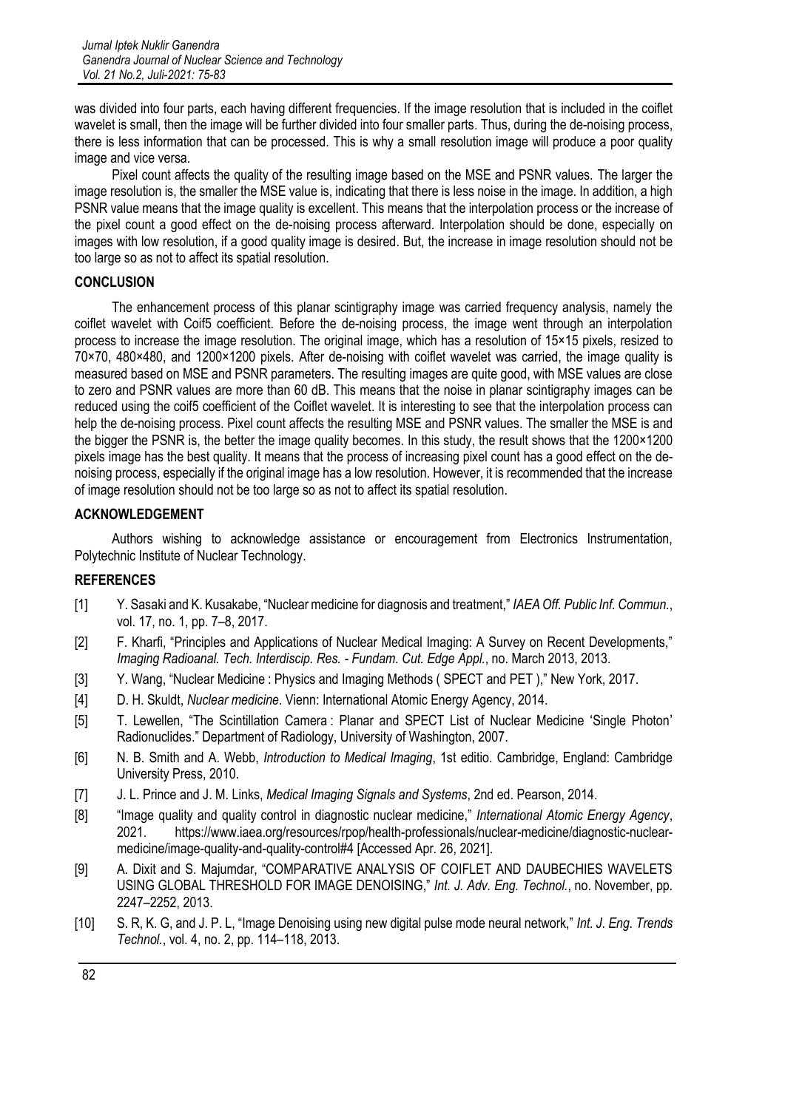was divided into four parts, each having different frequencies. If the image resolution that is included in the coiflet wavelet is small, then the image will be further divided into four smaller parts. Thus, during the de-noising process, there is less information that can be processed. This is why a small resolution image will produce a poor quality image and vice versa.

Pixel count affects the quality of the resulting image based on the MSE and PSNR values. The larger the image resolution is, the smaller the MSE value is, indicating that there is less noise in the image. In addition, a high PSNR value means that the image quality is excellent. This means that the interpolation process or the increase of the pixel count a good effect on the de-noising process afterward. Interpolation should be done, especially on images with low resolution, if a good quality image is desired. But, the increase in image resolution should not be too large so as not to affect its spatial resolution.

# **CONCLUSION**

The enhancement process of this planar scintigraphy image was carried frequency analysis, namely the coiflet wavelet with Coif5 coefficient. Before the de-noising process, the image went through an interpolation process to increase the image resolution. The original image, which has a resolution of 15×15 pixels, resized to 70×70, 480×480, and 1200×1200 pixels. After de-noising with coiflet wavelet was carried, the image quality is measured based on MSE and PSNR parameters. The resulting images are quite good, with MSE values are close to zero and PSNR values are more than 60 dB. This means that the noise in planar scintigraphy images can be reduced using the coif5 coefficient of the Coiflet wavelet. It is interesting to see that the interpolation process can help the de-noising process. Pixel count affects the resulting MSE and PSNR values. The smaller the MSE is and the bigger the PSNR is, the better the image quality becomes. In this study, the result shows that the 1200×1200 pixels image has the best quality. It means that the process of increasing pixel count has a good effect on the denoising process, especially if the original image has a low resolution. However, it is recommended that the increase of image resolution should not be too large so as not to affect its spatial resolution.

# **ACKNOWLEDGEMENT**

Authors wishing to acknowledge assistance or encouragement from Electronics Instrumentation, Polytechnic Institute of Nuclear Technology.

# **REFERENCES**

- [1] Y. Sasaki and K. Kusakabe, "Nuclear medicine for diagnosis and treatment," *IAEA Off. Public Inf. Commun.*, vol. 17, no. 1, pp. 7–8, 2017.
- [2] F. Kharfi, "Principles and Applications of Nuclear Medical Imaging: A Survey on Recent Developments," *Imaging Radioanal. Tech. Interdiscip. Res. - Fundam. Cut. Edge Appl.*, no. March 2013, 2013.
- [3] Y. Wang, "Nuclear Medicine: Physics and Imaging Methods (SPECT and PET)," New York, 2017.
- [4] D. H. Skuldt, *Nuclear medicine*. Vienn: International Atomic Energy Agency, 2014.
- [5] T. Lewellen, "The Scintillation Camera : Planar and SPECT List of Nuclear Medicine 'Single Photon' Radionuclides." Department of Radiology, University of Washington, 2007.
- [6] N. B. Smith and A. Webb, *Introduction to Medical Imaging*, 1st editio. Cambridge, England: Cambridge University Press, 2010.
- [7] J. L. Prince and J. M. Links, *Medical Imaging Signals and Systems*, 2nd ed. Pearson, 2014.
- [8] "Image quality and quality control in diagnostic nuclear medicine," *International Atomic Energy Agency*, 2021. https://www.iaea.org/resources/rpop/health-professionals/nuclear-medicine/diagnostic-nuclearmedicine/image-quality-and-quality-control#4 [Accessed Apr. 26, 2021].
- [9] A. Dixit and S. Majumdar, "COMPARATIVE ANALYSIS OF COIFLET AND DAUBECHIES WAVELETS USING GLOBAL THRESHOLD FOR IMAGE DENOISING," *Int. J. Adv. Eng. Technol.*, no. November, pp. 2247–2252, 2013.
- [10] S. R, K. G, and J. P. L, "Image Denoising using new digital pulse mode neural network," *Int. J. Eng. Trends Technol.*, vol. 4, no. 2, pp. 114–118, 2013.